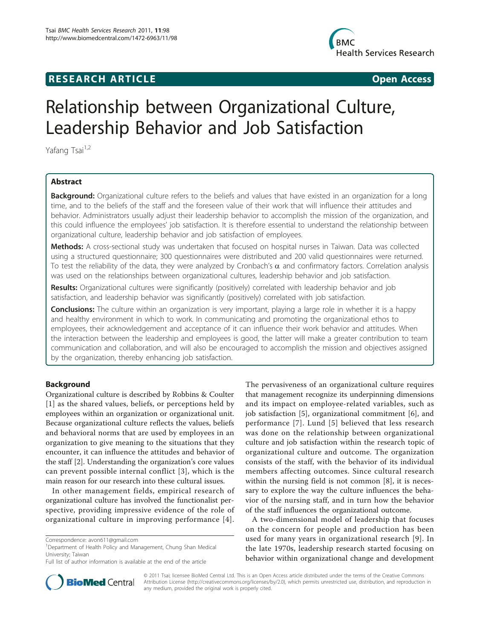## **RESEARCH ARTICLE Example 2018 12:30 THE Open Access**



# Relationship between Organizational Culture, Leadership Behavior and Job Satisfaction

Yafang Tsai<sup>1,2</sup>

## Abstract

Background: Organizational culture refers to the beliefs and values that have existed in an organization for a long time, and to the beliefs of the staff and the foreseen value of their work that will influence their attitudes and behavior. Administrators usually adjust their leadership behavior to accomplish the mission of the organization, and this could influence the employees' job satisfaction. It is therefore essential to understand the relationship between organizational culture, leadership behavior and job satisfaction of employees.

Methods: A cross-sectional study was undertaken that focused on hospital nurses in Taiwan. Data was collected using a structured questionnaire; 300 questionnaires were distributed and 200 valid questionnaires were returned. To test the reliability of the data, they were analyzed by Cronbach's  $\alpha$  and confirmatory factors. Correlation analysis was used on the relationships between organizational cultures, leadership behavior and job satisfaction.

Results: Organizational cultures were significantly (positively) correlated with leadership behavior and job satisfaction, and leadership behavior was significantly (positively) correlated with job satisfaction.

**Conclusions:** The culture within an organization is very important, playing a large role in whether it is a happy and healthy environment in which to work. In communicating and promoting the organizational ethos to employees, their acknowledgement and acceptance of it can influence their work behavior and attitudes. When the interaction between the leadership and employees is good, the latter will make a greater contribution to team communication and collaboration, and will also be encouraged to accomplish the mission and objectives assigned by the organization, thereby enhancing job satisfaction.

## Background

Organizational culture is described by Robbins & Coulter [[1](#page-8-0)] as the shared values, beliefs, or perceptions held by employees within an organization or organizational unit. Because organizational culture reflects the values, beliefs and behavioral norms that are used by employees in an organization to give meaning to the situations that they encounter, it can influence the attitudes and behavior of the staff [\[2\]](#page-8-0). Understanding the organization's core values can prevent possible internal conflict [[3](#page-8-0)], which is the main reason for our research into these cultural issues.

In other management fields, empirical research of organizational culture has involved the functionalist perspective, providing impressive evidence of the role of organizational culture in improving performance [[4\]](#page-8-0).

The pervasiveness of an organizational culture requires that management recognize its underpinning dimensions and its impact on employee-related variables, such as job satisfaction [[5\]](#page-8-0), organizational commitment [[6\]](#page-8-0), and performance [[7\]](#page-8-0). Lund [[5](#page-8-0)] believed that less research was done on the relationship between organizational culture and job satisfaction within the research topic of organizational culture and outcome. The organization consists of the staff, with the behavior of its individual members affecting outcomes. Since cultural research within the nursing field is not common [[8\]](#page-8-0), it is necessary to explore the way the culture influences the behavior of the nursing staff, and in turn how the behavior of the staff influences the organizational outcome.

A two-dimensional model of leadership that focuses on the concern for people and production has been used for many years in organizational research [\[9](#page-8-0)]. In the late 1970s, leadership research started focusing on behavior within organizational change and development



© 2011 Tsai; licensee BioMed Central Ltd. This is an Open Access article distributed under the terms of the Creative Commons Attribution License [\(http://creativecommons.org/licenses/by/2.0](http://creativecommons.org/licenses/by/2.0)), which permits unrestricted use, distribution, and reproduction in any medium, provided the original work is properly cited.

Correspondence: [avon611@gmail.com](mailto:avon611@gmail.com)

<sup>&</sup>lt;sup>1</sup>Department of Health Policy and Management, Chung Shan Medical University; Taiwan

Full list of author information is available at the end of the article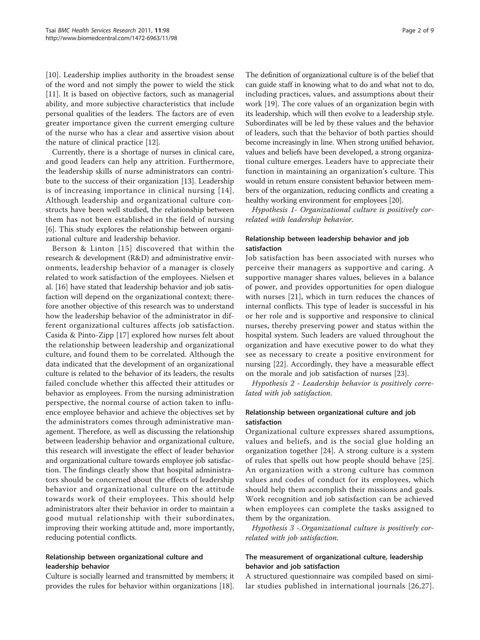[[10\]](#page-8-0). Leadership implies authority in the broadest sense of the word and not simply the power to wield the stick [[11\]](#page-8-0). It is based on objective factors, such as managerial ability, and more subjective characteristics that include personal qualities of the leaders. The factors are of even greater importance given the current emerging culture of the nurse who has a clear and assertive vision about the nature of clinical practice [[12\]](#page-8-0).

Currently, there is a shortage of nurses in clinical care, and good leaders can help any attrition. Furthermore, the leadership skills of nurse administrators can contribute to the success of their organization [\[13\]](#page-8-0). Leadership is of increasing importance in clinical nursing [[14\]](#page-8-0). Although leadership and organizational culture constructs have been well studied, the relationship between them has not been established in the field of nursing [[6\]](#page-8-0). This study explores the relationship between organizational culture and leadership behavior.

Berson & Linton [[15\]](#page-8-0) discovered that within the research & development (R&D) and administrative environments, leadership behavior of a manager is closely related to work satisfaction of the employees. Nielsen et al. [[16](#page-8-0)] have stated that leadership behavior and job satisfaction will depend on the organizational context; therefore another objective of this research was to understand how the leadership behavior of the administrator in different organizational cultures affects job satisfaction. Casida & Pinto-Zipp [[17](#page-8-0)] explored how nurses felt about the relationship between leadership and organizational culture, and found them to be correlated. Although the data indicated that the development of an organizational culture is related to the behavior of its leaders, the results failed conclude whether this affected their attitudes or behavior as employees. From the nursing administration perspective, the normal course of action taken to influence employee behavior and achieve the objectives set by the administrators comes through administrative management. Therefore, as well as discussing the relationship between leadership behavior and organizational culture, this research will investigate the effect of leader behavior and organizational culture towards employee job satisfaction. The findings clearly show that hospital administrators should be concerned about the effects of leadership behavior and organizational culture on the attitude towards work of their employees. This should help administrators alter their behavior in order to maintain a good mutual relationship with their subordinates, improving their working attitude and, more importantly, reducing potential conflicts.

## Relationship between organizational culture and leadership behavior

Culture is socially learned and transmitted by members; it provides the rules for behavior within organizations [\[18](#page-8-0)].

The definition of organizational culture is of the belief that can guide staff in knowing what to do and what not to do, including practices, values, and assumptions about their work [\[19](#page-8-0)]. The core values of an organization begin with its leadership, which will then evolve to a leadership style. Subordinates will be led by these values and the behavior of leaders, such that the behavior of both parties should become increasingly in line. When strong unified behavior, values and beliefs have been developed, a strong organizational culture emerges. Leaders have to appreciate their function in maintaining an organization's culture. This would in return ensure consistent behavior between members of the organization, reducing conflicts and creating a healthy working environment for employees [\[20\]](#page-8-0).

Hypothesis 1- Organizational culture is positively correlated with leadership behavior.

## Relationship between leadership behavior and job satisfaction

Job satisfaction has been associated with nurses who perceive their managers as supportive and caring. A supportive manager shares values, believes in a balance of power, and provides opportunities for open dialogue with nurses [[21\]](#page-8-0), which in turn reduces the chances of internal conflicts. This type of leader is successful in his or her role and is supportive and responsive to clinical nurses, thereby preserving power and status within the hospital system. Such leaders are valued throughout the organization and have executive power to do what they see as necessary to create a positive environment for nursing [\[22](#page-8-0)]. Accordingly, they have a measurable effect on the morale and job satisfaction of nurses [\[23](#page-8-0)].

Hypothesis 2 - Leadership behavior is positively correlated with job satisfaction.

## Relationship between organizational culture and job satisfaction

Organizational culture expresses shared assumptions, values and beliefs, and is the social glue holding an organization together [[24](#page-8-0)]. A strong culture is a system of rules that spells out how people should behave [[25](#page-8-0)]. An organization with a strong culture has common values and codes of conduct for its employees, which should help them accomplish their missions and goals. Work recognition and job satisfaction can be achieved when employees can complete the tasks assigned to them by the organization.

Hypothesis 3 -.Organizational culture is positively correlated with job satisfaction.

## The measurement of organizational culture, leadership behavior and job satisfaction

A structured questionnaire was compiled based on similar studies published in international journals [[26](#page-8-0),[27](#page-8-0)].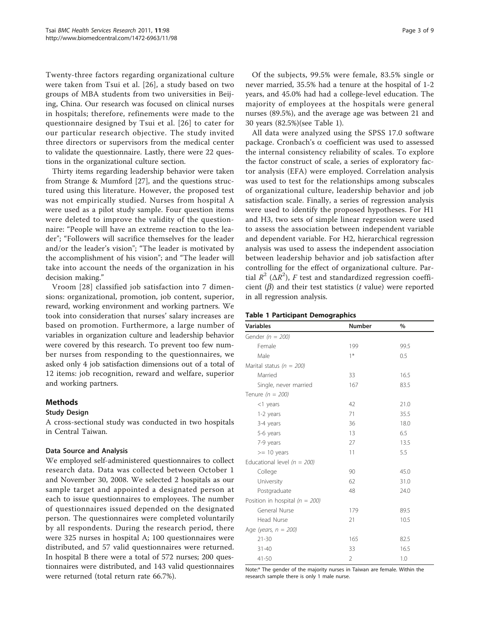Twenty-three factors regarding organizational culture were taken from Tsui et al. [\[26\]](#page-8-0), a study based on two groups of MBA students from two universities in Beijing, China. Our research was focused on clinical nurses in hospitals; therefore, refinements were made to the questionnaire designed by Tsui et al. [[26](#page-8-0)] to cater for our particular research objective. The study invited three directors or supervisors from the medical center to validate the questionnaire. Lastly, there were 22 questions in the organizational culture section.

Thirty items regarding leadership behavior were taken from Strange & Mumford [[27\]](#page-8-0), and the questions structured using this literature. However, the proposed test was not empirically studied. Nurses from hospital A were used as a pilot study sample. Four question items were deleted to improve the validity of the questionnaire: "People will have an extreme reaction to the leader"; "Followers will sacrifice themselves for the leader and/or the leader's vision"; "The leader is motivated by the accomplishment of his vision"; and "The leader will take into account the needs of the organization in his decision making."

Vroom [[28\]](#page-8-0) classified job satisfaction into 7 dimensions: organizational, promotion, job content, superior, reward, working environment and working partners. We took into consideration that nurses' salary increases are based on promotion. Furthermore, a large number of variables in organization culture and leadership behavior were covered by this research. To prevent too few number nurses from responding to the questionnaires, we asked only 4 job satisfaction dimensions out of a total of 12 items: job recognition, reward and welfare, superior and working partners.

### Methods

## Study Design

A cross-sectional study was conducted in two hospitals in Central Taiwan.

### Data Source and Analysis

We employed self-administered questionnaires to collect research data. Data was collected between October 1 and November 30, 2008. We selected 2 hospitals as our sample target and appointed a designated person at each to issue questionnaires to employees. The number of questionnaires issued depended on the designated person. The questionnaires were completed voluntarily by all respondents. During the research period, there were 325 nurses in hospital A; 100 questionnaires were distributed, and 57 valid questionnaires were returned. In hospital B there were a total of 572 nurses; 200 questionnaires were distributed, and 143 valid questionnaires were returned (total return rate 66.7%).

Of the subjects, 99.5% were female, 83.5% single or never married, 35.5% had a tenure at the hospital of 1-2 years, and 45.0% had had a college-level education. The majority of employees at the hospitals were general nurses (89.5%), and the average age was between 21 and 30 years (82.5%)(see Table 1).

All data were analyzed using the SPSS 17.0 software package. Cronbach's  $\alpha$  coefficient was used to assessed the internal consistency reliability of scales. To explore the factor construct of scale, a series of exploratory factor analysis (EFA) were employed. Correlation analysis was used to test for the relationships among subscales of organizational culture, leadership behavior and job satisfaction scale. Finally, a series of regression analysis were used to identify the proposed hypotheses. For H1 and H3, two sets of simple linear regression were used to assess the association between independent variable and dependent variable. For H2, hierarchical regression analysis was used to assess the independent association between leadership behavior and job satisfaction after controlling for the effect of organizational culture. Partial  $R^2$  ( $\Delta R^2$ ), F test and standardized regression coefficient  $(\beta)$  and their test statistics (t value) were reported in all regression analysis.

|  |  | Table 1 Participant Demographics |
|--|--|----------------------------------|
|--|--|----------------------------------|

| <b>Variables</b>                   | <b>Number</b>  | $\%$ |
|------------------------------------|----------------|------|
| Gender ( $n = 200$ )               |                |      |
| Female                             | 199            | 99.5 |
| Male                               | $1*$           | 0.5  |
| Marital status ( $n = 200$ )       |                |      |
| Married                            | 33             | 16.5 |
| Single, never married              | 167            | 83.5 |
| Tenure $(n = 200)$                 |                |      |
| $<$ 1 years                        | 42             | 21.0 |
| 1-2 years                          | 71             | 35.5 |
| 3-4 years                          | 36             | 18.0 |
| 5-6 years                          | 13             | 6.5  |
| 7-9 years                          | 27             | 13.5 |
| $>= 10$ years                      | 11             | 5.5  |
| Educational level ( $n = 200$ )    |                |      |
| College                            | 90             | 45.0 |
| University                         | 62             | 31.0 |
| Postgraduate                       | 48             | 24.0 |
| Position in hospital ( $n = 200$ ) |                |      |
| General Nurse                      | 179            | 89.5 |
| Head Nurse                         | 21             | 10.5 |
| Age (years, $n = 200$ )            |                |      |
| $21 - 30$                          | 165            | 82.5 |
| $31 - 40$                          | 33             | 16.5 |
| $41 - 50$                          | $\overline{2}$ | 1.0  |

Note:\* The gender of the majority nurses in Taiwan are female. Within the research sample there is only 1 male nurse.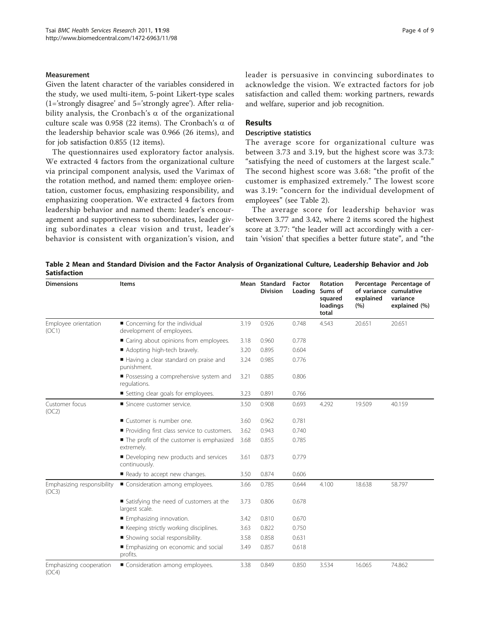#### <span id="page-3-0"></span>**Measurement**

Given the latent character of the variables considered in the study, we used multi-item, 5-point Likert-type scales (1='strongly disagree' and 5='strongly agree'). After reliability analysis, the Cronbach's  $\alpha$  of the organizational culture scale was 0.958 (22 items). The Cronbach's  $\alpha$  of the leadership behavior scale was 0.966 (26 items), and for job satisfaction 0.855 (12 items).

The questionnaires used exploratory factor analysis. We extracted 4 factors from the organizational culture via principal component analysis, used the Varimax of the rotation method, and named them: employee orientation, customer focus, emphasizing responsibility, and emphasizing cooperation. We extracted 4 factors from leadership behavior and named them: leader's encouragement and supportiveness to subordinates, leader giving subordinates a clear vision and trust, leader's behavior is consistent with organization's vision, and

leader is persuasive in convincing subordinates to acknowledge the vision. We extracted factors for job satisfaction and called them: working partners, rewards and welfare, superior and job recognition.

## Results

## Descriptive statistics

The average score for organizational culture was between 3.73 and 3.19, but the highest score was 3.73: "satisfying the need of customers at the largest scale." The second highest score was 3.68: "the profit of the customer is emphasized extremely." The lowest score was 3.19: "concern for the individual development of employees" (see Table 2).

The average score for leadership behavior was between 3.77 and 3.42, where 2 items scored the highest score at 3.77: "the leader will act accordingly with a certain 'vision' that specifies a better future state", and "the

Table 2 Mean and Standard Division and the Factor Analysis of Organizational Culture, Leadership Behavior and Job Satisfaction

| <b>Dimensions</b>                   | <b>Items</b>                                               |      | Mean Standard<br><b>Division</b> | Factor<br>Loading | <b>Rotation</b><br>Sums of<br>squared<br>loadings<br>total | explained<br>(%) | Percentage Percentage of<br>of variance cumulative<br>variance<br>explained (%) |
|-------------------------------------|------------------------------------------------------------|------|----------------------------------|-------------------|------------------------------------------------------------|------------------|---------------------------------------------------------------------------------|
| Employee orientation<br>(OC1)       | Concerning for the individual<br>development of employees. | 3.19 | 0.926                            | 0.748             | 4.543                                                      | 20.651           | 20.651                                                                          |
|                                     | ■ Caring about opinions from employees.                    | 3.18 | 0.960                            | 0.778             |                                                            |                  |                                                                                 |
|                                     | Adopting high-tech bravely.                                | 3.20 | 0.895                            | 0.604             |                                                            |                  |                                                                                 |
|                                     | Having a clear standard on praise and<br>punishment.       | 3.24 | 0.985                            | 0.776             |                                                            |                  |                                                                                 |
|                                     | Possessing a comprehensive system and<br>regulations.      | 3.21 | 0.885                            | 0.806             |                                                            |                  |                                                                                 |
|                                     | Setting clear goals for employees.                         | 3.23 | 0.891                            | 0.766             |                                                            |                  |                                                                                 |
| Customer focus<br>(OC2)             | Sincere customer service.                                  | 3.50 | 0.908                            | 0.693             | 4.292                                                      | 19.509           | 40.159                                                                          |
|                                     | ■ Customer is number one.                                  | 3.60 | 0.962                            | 0.781             |                                                            |                  |                                                                                 |
|                                     | Providing first class service to customers.                | 3.62 | 0.943                            | 0.740             |                                                            |                  |                                                                                 |
|                                     | The profit of the customer is emphasized<br>extremely.     | 3.68 | 0.855                            | 0.785             |                                                            |                  |                                                                                 |
|                                     | Developing new products and services<br>continuously.      | 3.61 | 0.873                            | 0.779             |                                                            |                  |                                                                                 |
|                                     | Ready to accept new changes.                               | 3.50 | 0.874                            | 0.606             |                                                            |                  |                                                                                 |
| Emphasizing responsibility<br>(OC3) | Consideration among employees.                             | 3.66 | 0.785                            | 0.644             | 4.100                                                      | 18.638           | 58.797                                                                          |
|                                     | Satisfying the need of customers at the<br>largest scale.  | 3.73 | 0.806                            | 0.678             |                                                            |                  |                                                                                 |
|                                     | Emphasizing innovation.                                    | 3.42 | 0.810                            | 0.670             |                                                            |                  |                                                                                 |
|                                     | ■ Keeping strictly working disciplines.                    | 3.63 | 0.822                            | 0.750             |                                                            |                  |                                                                                 |
|                                     | Showing social responsibility.                             | 3.58 | 0.858                            | 0.631             |                                                            |                  |                                                                                 |
|                                     | Emphasizing on economic and social<br>profits.             | 3.49 | 0.857                            | 0.618             |                                                            |                  |                                                                                 |
| Emphasizing cooperation<br>(OC4)    | Consideration among employees.                             | 3.38 | 0.849                            | 0.850             | 3.534                                                      | 16.065           | 74.862                                                                          |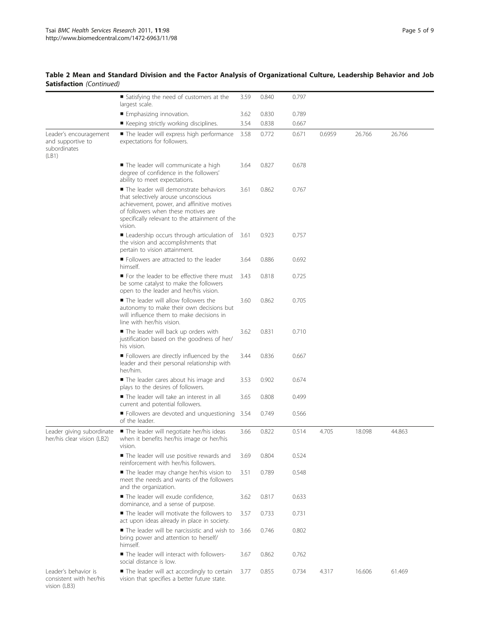## Table 2 Mean and Standard Division and the Factor Analysis of Organizational Culture, Leadership Behavior and Job Satisfaction (Continued)

|                                                                      | Satisfying the need of customers at the<br>largest scale.                                                                                                                                                                      | 3.59 | 0.840 | 0.797 |        |        |        |
|----------------------------------------------------------------------|--------------------------------------------------------------------------------------------------------------------------------------------------------------------------------------------------------------------------------|------|-------|-------|--------|--------|--------|
|                                                                      | Emphasizing innovation.                                                                                                                                                                                                        | 3.62 | 0.830 | 0.789 |        |        |        |
|                                                                      | ■ Keeping strictly working disciplines.                                                                                                                                                                                        | 3.54 | 0.838 | 0.667 |        |        |        |
| Leader's encouragement<br>and supportive to<br>subordinates<br>(LB1) | The leader will express high performance<br>expectations for followers.                                                                                                                                                        | 3.58 | 0.772 | 0.671 | 0.6959 | 26.766 | 26.766 |
|                                                                      | The leader will communicate a high<br>degree of confidence in the followers'<br>ability to meet expectations.                                                                                                                  | 3.64 | 0.827 | 0.678 |        |        |        |
|                                                                      | The leader will demonstrate behaviors<br>that selectively arouse unconscious<br>achievement, power, and affinitive motives<br>of followers when these motives are<br>specifically relevant to the attainment of the<br>vision. | 3.61 | 0.862 | 0.767 |        |        |        |
|                                                                      | Leadership occurs through articulation of 3.61<br>the vision and accomplishments that<br>pertain to vision attainment.                                                                                                         |      | 0.923 | 0.757 |        |        |        |
|                                                                      | Followers are attracted to the leader<br>himself.                                                                                                                                                                              | 3.64 | 0.886 | 0.692 |        |        |        |
|                                                                      | For the leader to be effective there must<br>be some catalyst to make the followers<br>open to the leader and her/his vision.                                                                                                  | 3.43 | 0.818 | 0.725 |        |        |        |
|                                                                      | The leader will allow followers the<br>autonomy to make their own decisions but<br>will influence them to make decisions in<br>line with her/his vision.                                                                       | 3.60 | 0.862 | 0.705 |        |        |        |
|                                                                      | The leader will back up orders with<br>justification based on the goodness of her/<br>his vision.                                                                                                                              | 3.62 | 0.831 | 0.710 |        |        |        |
|                                                                      | Followers are directly influenced by the<br>leader and their personal relationship with<br>her/him.                                                                                                                            | 3.44 | 0.836 | 0.667 |        |        |        |
|                                                                      | The leader cares about his image and<br>plays to the desires of followers.                                                                                                                                                     | 3.53 | 0.902 | 0.674 |        |        |        |
|                                                                      | The leader will take an interest in all<br>current and potential followers.                                                                                                                                                    | 3.65 | 0.808 | 0.499 |        |        |        |
|                                                                      | Followers are devoted and unquestioning<br>of the leader.                                                                                                                                                                      | 3.54 | 0.749 | 0.566 |        |        |        |
| Leader giving subordinate<br>her/his clear vision (LB2)              | The leader will negotiate her/his ideas<br>when it benefits her/his image or her/his<br>vision.                                                                                                                                | 3.66 | 0.822 | 0.514 | 4.705  | 18.098 | 44.863 |
|                                                                      | The leader will use positive rewards and<br>reinforcement with her/his followers.                                                                                                                                              | 3.69 | 0.804 | 0.524 |        |        |        |
|                                                                      | The leader may change her/his vision to<br>meet the needs and wants of the followers<br>and the organization.                                                                                                                  | 3.51 | 0.789 | 0.548 |        |        |        |
|                                                                      | The leader will exude confidence,<br>dominance, and a sense of purpose.                                                                                                                                                        | 3.62 | 0.817 | 0.633 |        |        |        |
|                                                                      | The leader will motivate the followers to<br>act upon ideas already in place in society.                                                                                                                                       | 3.57 | 0.733 | 0.731 |        |        |        |
|                                                                      | The leader will be narcissistic and wish to 3.66<br>bring power and attention to herself/<br>himself.                                                                                                                          |      | 0.746 | 0.802 |        |        |        |
|                                                                      | The leader will interact with followers-<br>social distance is low.                                                                                                                                                            | 3.67 | 0.862 | 0.762 |        |        |        |
| Leader's behavior is<br>consistent with her/his<br>vision (LB3)      | The leader will act accordingly to certain<br>vision that specifies a better future state.                                                                                                                                     | 3.77 | 0.855 | 0.734 | 4.317  | 16.606 | 61.469 |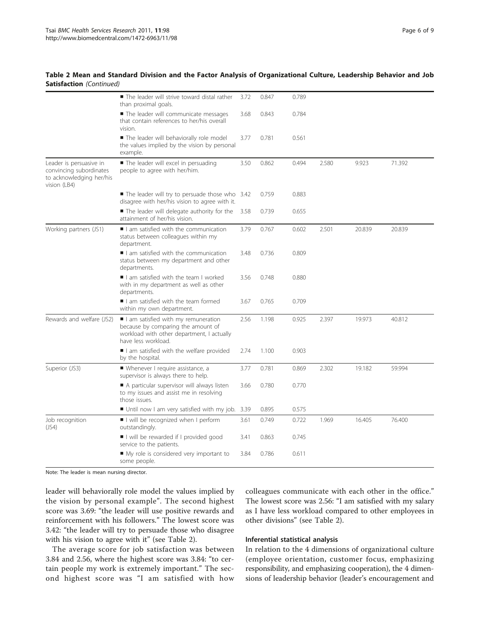## Table 2 Mean and Standard Division and the Factor Analysis of Organizational Culture, Leadership Behavior and Job Satisfaction (Continued)

|                                                                                                | ■ The leader will strive toward distal rather<br>than proximal goals.                                                                          | 3.72 | 0.847 | 0.789 |       |        |        |
|------------------------------------------------------------------------------------------------|------------------------------------------------------------------------------------------------------------------------------------------------|------|-------|-------|-------|--------|--------|
|                                                                                                | The leader will communicate messages<br>that contain references to her/his overall<br>vision.                                                  | 3.68 | 0.843 | 0.784 |       |        |        |
|                                                                                                | The leader will behaviorally role model<br>the values implied by the vision by personal<br>example.                                            | 3.77 | 0.781 | 0.561 |       |        |        |
| Leader is persuasive in<br>convincing subordinates<br>to acknowledging her/his<br>vision (LB4) | The leader will excel in persuading<br>people to agree with her/him.                                                                           | 3.50 | 0.862 | 0.494 | 2.580 | 9.923  | 71.392 |
|                                                                                                | The leader will try to persuade those who 3.42<br>disagree with her/his vision to agree with it.                                               |      | 0.759 | 0.883 |       |        |        |
|                                                                                                | The leader will delegate authority for the<br>attainment of her/his vision.                                                                    | 3.58 | 0.739 | 0.655 |       |        |        |
| Working partners (JS1)                                                                         | I am satisfied with the communication<br>status between colleagues within my<br>department.                                                    | 3.79 | 0.767 | 0.602 | 2.501 | 20.839 | 20.839 |
|                                                                                                | I am satisfied with the communication<br>status between my department and other<br>departments.                                                | 3.48 | 0.736 | 0.809 |       |        |        |
|                                                                                                | I am satisfied with the team I worked<br>with in my department as well as other<br>departments.                                                | 3.56 | 0.748 | 0.880 |       |        |        |
|                                                                                                | I am satisfied with the team formed<br>within my own department.                                                                               | 3.67 | 0.765 | 0.709 |       |        |        |
| Rewards and welfare (JS2)                                                                      | I am satisfied with my remuneration<br>because by comparing the amount of<br>workload with other department, I actually<br>have less workload. | 2.56 | 1.198 | 0.925 | 2.397 | 19.973 | 40.812 |
|                                                                                                | I am satisfied with the welfare provided<br>by the hospital.                                                                                   | 2.74 | 1.100 | 0.903 |       |        |        |
| Superior (JS3)                                                                                 | ■ Whenever I require assistance, a<br>supervisor is always there to help.                                                                      | 3.77 | 0.781 | 0.869 | 2.302 | 19.182 | 59.994 |
|                                                                                                | A particular supervisor will always listen<br>to my issues and assist me in resolving<br>those issues.                                         | 3.66 | 0.780 | 0.770 |       |        |        |
|                                                                                                | Until now I am very satisfied with my job. 3.39                                                                                                |      | 0.895 | 0.575 |       |        |        |
| Job recognition<br>(JS4)                                                                       | I will be recognized when I perform<br>outstandingly.                                                                                          | 3.61 | 0.749 | 0.722 | 1.969 | 16.405 | 76.400 |
|                                                                                                | I I will be rewarded if I provided good<br>service to the patients.                                                                            | 3.41 | 0.863 | 0.745 |       |        |        |
|                                                                                                | ■ My role is considered very important to<br>some people.                                                                                      | 3.84 | 0.786 | 0.611 |       |        |        |

Note: The leader is mean nursing director.

leader will behaviorally role model the values implied by the vision by personal example". The second highest score was 3.69: "the leader will use positive rewards and reinforcement with his followers." The lowest score was 3.42: "the leader will try to persuade those who disagree with his vision to agree with it" (see Table [2](#page-3-0)).

The average score for job satisfaction was between 3.84 and 2.56, where the highest score was 3.84: "to certain people my work is extremely important." The second highest score was "I am satisfied with how

colleagues communicate with each other in the office." The lowest score was 2.56: "I am satisfied with my salary as I have less workload compared to other employees in other divisions" (see Table [2\)](#page-3-0).

#### Inferential statistical analysis

In relation to the 4 dimensions of organizational culture (employee orientation, customer focus, emphasizing responsibility, and emphasizing cooperation), the 4 dimensions of leadership behavior (leader's encouragement and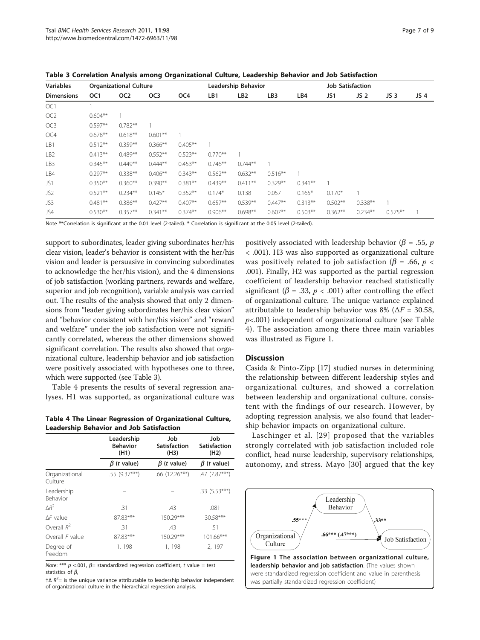| <b>Variables</b>  |                 | <b>Organizational Culture</b> |                 |                 |           | Leadership Behavior<br><b>Job Satisfaction</b> |                 |           |           |           |                 |      |
|-------------------|-----------------|-------------------------------|-----------------|-----------------|-----------|------------------------------------------------|-----------------|-----------|-----------|-----------|-----------------|------|
| <b>Dimensions</b> | OC <sub>1</sub> | OC <sub>2</sub>               | OC <sub>3</sub> | OC <sub>4</sub> | LB1       | LB2                                            | LB <sub>3</sub> | LB4       | JS1       | JS 2      | JS <sub>3</sub> | JS 4 |
| OC1               |                 |                               |                 |                 |           |                                                |                 |           |           |           |                 |      |
| OC <sub>2</sub>   | $0.604**$       |                               |                 |                 |           |                                                |                 |           |           |           |                 |      |
| OC <sub>3</sub>   | $0.597**$       | $0.782**$                     |                 |                 |           |                                                |                 |           |           |           |                 |      |
| OC4               | $0.678**$       | $0.618**$                     | $0.601**$       |                 |           |                                                |                 |           |           |           |                 |      |
| LB1               | $0.512***$      | $0.359**$                     | $0.366**$       | $0.405**$       |           |                                                |                 |           |           |           |                 |      |
| LB <sub>2</sub>   | $0.413**$       | $0.489**$                     | $0.552**$       | $0.523**$       | $0.770**$ |                                                |                 |           |           |           |                 |      |
| LB3               | $0.345**$       | $0.449**$                     | $0.444**$       | $0.453**$       | $0.746**$ | $0.744**$                                      |                 |           |           |           |                 |      |
| LB4               | $0.297**$       | $0.338**$                     | $0.406**$       | $0.343**$       | $0.562**$ | $0.632**$                                      | $0.516**$       |           |           |           |                 |      |
| JS1               | $0.350**$       | $0.360**$                     | $0.390**$       | $0.381**$       | $0.439**$ | $0.411***$                                     | $0.329**$       | $0.341**$ |           |           |                 |      |
| JS <sub>2</sub>   | $0.521***$      | $0.234**$                     | $0.145*$        | $0.352**$       | $0.174*$  | 0.138                                          | 0.057           | $0.165*$  | $0.170*$  |           |                 |      |
| JS3               | $0.481**$       | $0.386**$                     | $0.427**$       | $0.407**$       | $0.657**$ | $0.539**$                                      | $0.447**$       | $0.313**$ | $0.502**$ | $0.338**$ |                 |      |
| JS4               | $0.530**$       | $0.357**$                     | $0.341**$       | $0.374**$       | $0.906**$ | $0.698**$                                      | $0.607**$       | $0.503**$ | $0.362**$ | $0.234**$ | $0.575**$       |      |

Table 3 Correlation Analysis among Organizational Culture, Leadership Behavior and Job Satisfaction

Note \*\*Correlation is significant at the 0.01 level (2-tailed). \* Correlation is significant at the 0.05 level (2-tailed).

support to subordinates, leader giving subordinates her/his clear vision, leader's behavior is consistent with the her/his vision and leader is persuasive in convincing subordinates to acknowledge the her/his vision), and the 4 dimensions of job satisfaction (working partners, rewards and welfare, superior and job recognition), variable analysis was carried out. The results of the analysis showed that only 2 dimensions from "leader giving subordinates her/his clear vision" and "behavior consistent with her/his vision" and "reward and welfare" under the job satisfaction were not significantly correlated, whereas the other dimensions showed significant correlation. The results also showed that organizational culture, leadership behavior and job satisfaction were positively associated with hypotheses one to three, which were supported (see Table 3).

Table 4 presents the results of several regression analyses. H1 was supported, as organizational culture was

Table 4 The Linear Regression of Organizational Culture, Leadership Behavior and Job Satisfaction

|                               | Leadership<br><b>Behavior</b><br>(H1) | Job<br>Satisfaction<br>(H3) | Job<br>Satisfaction<br>(H2) |
|-------------------------------|---------------------------------------|-----------------------------|-----------------------------|
|                               | $\beta$ (t value)                     | $\beta$ (t value)           | $\beta$ (t value)           |
| Organizational<br>Culture     | $.55(9.37***)$                        | $.66(12.26***)$             | $.47(7.87***)$              |
| Leadership<br><b>Behavior</b> |                                       |                             | $.33(5.53***)$              |
| $AR^2$                        | .31                                   | .43                         | .08†                        |
| AF value                      | 87.83***                              | $150.29***$                 | 30.58***                    |
| Overall $R^2$                 | .31                                   | .43                         | .51                         |
| Overall F value               | 87.83***                              | $150.29***$                 | 101.66***                   |
| Degree of<br>freedom          | 1, 198                                | 1, 198                      | 2, 197                      |

Note: \*\*\*  $p$  <.001,  $\beta$ = standardized regression coefficient, t value = test statistics of  $\beta$ ,

 $\dagger \Delta R^2$  is the unique variance attributable to leadership behavior independent of organizational culture in the hierarchical regression analysis.

positively associated with leadership behavior ( $\beta = .55$ , p < .001). H3 was also supported as organizational culture was positively related to job satisfaction ( $\beta$  = .66,  $p$  < .001). Finally, H2 was supported as the partial regression coefficient of leadership behavior reached statistically significant ( $\beta$  = .33,  $p$  < .001) after controlling the effect of organizational culture. The unique variance explained attributable to leadership behavior was 8% ( $\Delta F = 30.58$ ,  $p<0.001$ ) independent of organizational culture (see Table 4). The association among there three main variables was illustrated as Figure 1.

## **Discussion**

Casida & Pinto-Zipp [\[17](#page-8-0)] studied nurses in determining the relationship between different leadership styles and organizational cultures, and showed a correlation between leadership and organizational culture, consistent with the findings of our research. However, by adopting regression analysis, we also found that leadership behavior impacts on organizational culture.

Laschinger et al. [[29\]](#page-8-0) proposed that the variables strongly correlated with job satisfaction included role conflict, head nurse leadership, supervisory relationships, autonomy, and stress. Mayo [\[30\]](#page-8-0) argued that the key

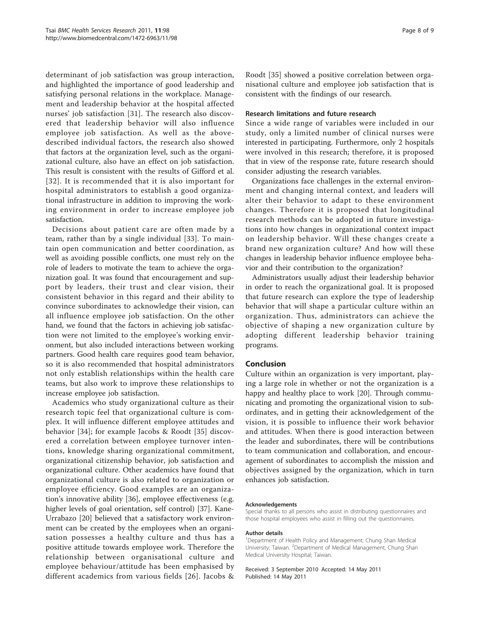determinant of job satisfaction was group interaction, and highlighted the importance of good leadership and satisfying personal relations in the workplace. Management and leadership behavior at the hospital affected nurses' job satisfaction [\[31\]](#page-8-0). The research also discovered that leadership behavior will also influence employee job satisfaction. As well as the abovedescribed individual factors, the research also showed that factors at the organization level, such as the organizational culture, also have an effect on job satisfaction. This result is consistent with the results of Gifford et al. [[32\]](#page-8-0). It is recommended that it is also important for hospital administrators to establish a good organizational infrastructure in addition to improving the working environment in order to increase employee job satisfaction.

Decisions about patient care are often made by a team, rather than by a single individual [\[33\]](#page-8-0). To maintain open communication and better coordination, as well as avoiding possible conflicts, one must rely on the role of leaders to motivate the team to achieve the organization goal. It was found that encouragement and support by leaders, their trust and clear vision, their consistent behavior in this regard and their ability to convince subordinates to acknowledge their vision, can all influence employee job satisfaction. On the other hand, we found that the factors in achieving job satisfaction were not limited to the employee's working environment, but also included interactions between working partners. Good health care requires good team behavior, so it is also recommended that hospital administrators not only establish relationships within the health care teams, but also work to improve these relationships to increase employee job satisfaction.

Academics who study organizational culture as their research topic feel that organizational culture is complex. It will influence different employee attitudes and behavior [\[34](#page-8-0)]; for example Jacobs & Roodt [[35](#page-8-0)] discovered a correlation between employee turnover intentions, knowledge sharing organizational commitment, organizational citizenship behavior, job satisfaction and organizational culture. Other academics have found that organizational culture is also related to organization or employee efficiency. Good examples are an organization's innovative ability [[36\]](#page-8-0), employee effectiveness (e.g. higher levels of goal orientation, self control) [\[37\]](#page-8-0). Kane-Urrabazo [\[20](#page-8-0)] believed that a satisfactory work environment can be created by the employees when an organisation possesses a healthy culture and thus has a positive attitude towards employee work. Therefore the relationship between organisational culture and employee behaviour/attitude has been emphasised by different academics from various fields [[26](#page-8-0)]. Jacobs &

Roodt [\[35](#page-8-0)] showed a positive correlation between organisational culture and employee job satisfaction that is consistent with the findings of our research.

#### Research limitations and future research

Since a wide range of variables were included in our study, only a limited number of clinical nurses were interested in participating. Furthermore, only 2 hospitals were involved in this research; therefore, it is proposed that in view of the response rate, future research should consider adjusting the research variables.

Organizations face challenges in the external environment and changing internal context, and leaders will alter their behavior to adapt to these environment changes. Therefore it is proposed that longitudinal research methods can be adopted in future investigations into how changes in organizational context impact on leadership behavior. Will these changes create a brand new organization culture? And how will these changes in leadership behavior influence employee behavior and their contribution to the organization?

Administrators usually adjust their leadership behavior in order to reach the organizational goal. It is proposed that future research can explore the type of leadership behavior that will shape a particular culture within an organization. Thus, administrators can achieve the objective of shaping a new organization culture by adopting different leadership behavior training programs.

## Conclusion

Culture within an organization is very important, playing a large role in whether or not the organization is a happy and healthy place to work [\[20](#page-8-0)]. Through communicating and promoting the organizational vision to subordinates, and in getting their acknowledgement of the vision, it is possible to influence their work behavior and attitudes. When there is good interaction between the leader and subordinates, there will be contributions to team communication and collaboration, and encouragement of subordinates to accomplish the mission and objectives assigned by the organization, which in turn enhances job satisfaction.

#### Acknowledgements

Special thanks to all persons who assist in distributing questionnaires and those hospital employees who assist in filling out the questionnaires.

#### Author details

<sup>1</sup>Department of Health Policy and Management, Chung Shan Medical University; Taiwan. <sup>2</sup>Department of Medical Management, Chung Shan Medical University Hospital; Taiwan.

Received: 3 September 2010 Accepted: 14 May 2011 Published: 14 May 2011